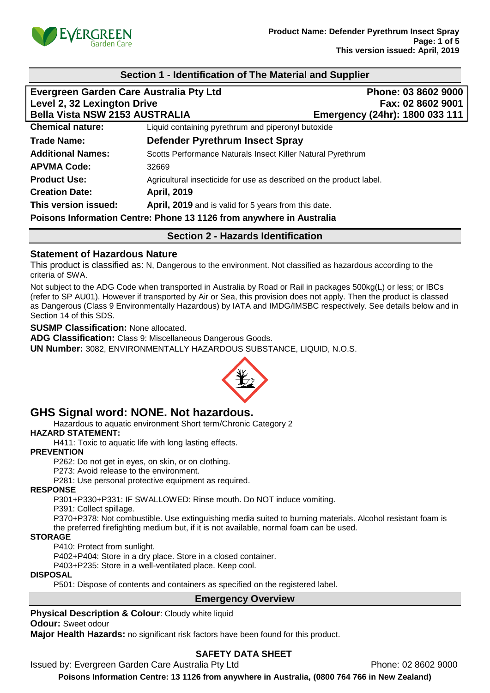

| Section 1 - Identification of The Material and Supplier                                                         |                                                                      |                                                                            |
|-----------------------------------------------------------------------------------------------------------------|----------------------------------------------------------------------|----------------------------------------------------------------------------|
| Evergreen Garden Care Australia Pty Ltd<br>Level 2, 32 Lexington Drive<br><b>Bella Vista NSW 2153 AUSTRALIA</b> |                                                                      | Phone: 03 8602 9000<br>Fax: 02 8602 9001<br>Emergency (24hr): 1800 033 111 |
| <b>Chemical nature:</b>                                                                                         | Liquid containing pyrethrum and piperonyl butoxide                   |                                                                            |
| <b>Trade Name:</b>                                                                                              | Defender Pyrethrum Insect Spray                                      |                                                                            |
| <b>Additional Names:</b>                                                                                        | Scotts Performance Naturals Insect Killer Natural Pyrethrum          |                                                                            |
| <b>APVMA Code:</b>                                                                                              | 32669                                                                |                                                                            |
| <b>Product Use:</b>                                                                                             | Agricultural insecticide for use as described on the product label.  |                                                                            |
| <b>Creation Date:</b>                                                                                           | <b>April, 2019</b>                                                   |                                                                            |
| This version issued:                                                                                            | April, 2019 and is valid for 5 years from this date.                 |                                                                            |
|                                                                                                                 | Poisons Information Centre: Phone 13 1126 from anywhere in Australia |                                                                            |
| <b>Section 2 - Hazards Identification</b>                                                                       |                                                                      |                                                                            |

## **Statement of Hazardous Nature**

This product is classified as: N, Dangerous to the environment. Not classified as hazardous according to the criteria of SWA.

Not subject to the ADG Code when transported in Australia by Road or Rail in packages 500kg(L) or less; or IBCs (refer to SP AU01). However if transported by Air or Sea, this provision does not apply. Then the product is classed as Dangerous (Class 9 Environmentally Hazardous) by IATA and IMDG/IMSBC respectively. See details below and in Section 14 of this SDS.

**SUSMP Classification:** None allocated.

**ADG Classification:** Class 9: Miscellaneous Dangerous Goods.

**UN Number:** 3082, ENVIRONMENTALLY HAZARDOUS SUBSTANCE, LIQUID, N.O.S.



# **GHS Signal word: NONE. Not hazardous.**

Hazardous to aquatic environment Short term/Chronic Category 2

**HAZARD STATEMENT:**

H411: Toxic to aquatic life with long lasting effects.

#### **PREVENTION**

P262: Do not get in eyes, on skin, or on clothing.

P273: Avoid release to the environment.

P281: Use personal protective equipment as required.

#### **RESPONSE**

P301+P330+P331: IF SWALLOWED: Rinse mouth. Do NOT induce vomiting.

P391: Collect spillage.

P370+P378: Not combustible. Use extinguishing media suited to burning materials. Alcohol resistant foam is the preferred firefighting medium but, if it is not available, normal foam can be used.

#### **STORAGE**

P410: Protect from sunlight.

P402+P404: Store in a dry place. Store in a closed container.

P403+P235: Store in a well-ventilated place. Keep cool.

#### **DISPOSAL**

P501: Dispose of contents and containers as specified on the registered label.

## **Emergency Overview**

**Physical Description & Colour: Cloudy white liquid** 

#### **Odour:** Sweet odour

**Major Health Hazards:** no significant risk factors have been found for this product.

## **SAFETY DATA SHEET**

Issued by: Evergreen Garden Care Australia Pty Ltd Phone: 02 8602 9000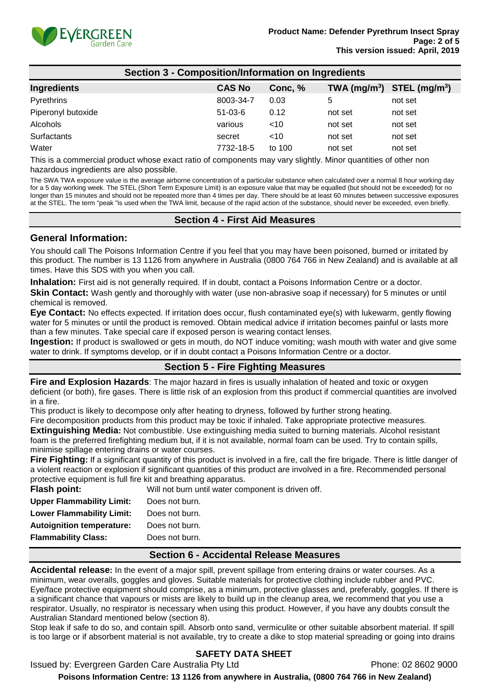

| <b>Section 3 - Composition/Information on Ingredients</b> |               |         |                            |                             |
|-----------------------------------------------------------|---------------|---------|----------------------------|-----------------------------|
| Ingredients                                               | <b>CAS No</b> | Conc, % | $TWA$ (mg/m <sup>3</sup> ) | $STEL$ (mg/m <sup>3</sup> ) |
| Pyrethrins                                                | 8003-34-7     | 0.03    | 5                          | not set                     |
| Piperonyl butoxide                                        | $51-03-6$     | 0.12    | not set                    | not set                     |
| Alcohols                                                  | various       | ~10     | not set                    | not set                     |
| Surfactants                                               | secret        | $<$ 10  | not set                    | not set                     |
| Water                                                     | 7732-18-5     | to 100  | not set                    | not set                     |

This is a commercial product whose exact ratio of components may vary slightly. Minor quantities of other non hazardous ingredients are also possible.

The SWA TWA exposure value is the average airborne concentration of a particular substance when calculated over a normal 8 hour working day for a 5 day working week. The STEL (Short Term Exposure Limit) is an exposure value that may be equalled (but should not be exceeded) for no longer than 15 minutes and should not be repeated more than 4 times per day. There should be at least 60 minutes between successive exposures at the STEL. The term "peak "is used when the TWA limit, because of the rapid action of the substance, should never be exceeded, even briefly.

## **Section 4 - First Aid Measures**

#### **General Information:**

You should call The Poisons Information Centre if you feel that you may have been poisoned, burned or irritated by this product. The number is 13 1126 from anywhere in Australia (0800 764 766 in New Zealand) and is available at all times. Have this SDS with you when you call.

**Inhalation:** First aid is not generally required. If in doubt, contact a Poisons Information Centre or a doctor.

**Skin Contact:** Wash gently and thoroughly with water (use non-abrasive soap if necessary) for 5 minutes or until chemical is removed.

**Eye Contact:** No effects expected. If irritation does occur, flush contaminated eye(s) with lukewarm, gently flowing water for 5 minutes or until the product is removed. Obtain medical advice if irritation becomes painful or lasts more than a few minutes. Take special care if exposed person is wearing contact lenses.

**Ingestion:** If product is swallowed or gets in mouth, do NOT induce vomiting; wash mouth with water and give some water to drink. If symptoms develop, or if in doubt contact a Poisons Information Centre or a doctor.

## **Section 5 - Fire Fighting Measures**

**Fire and Explosion Hazards**: The major hazard in fires is usually inhalation of heated and toxic or oxygen deficient (or both), fire gases. There is little risk of an explosion from this product if commercial quantities are involved in a fire.

This product is likely to decompose only after heating to dryness, followed by further strong heating.

Fire decomposition products from this product may be toxic if inhaled. Take appropriate protective measures.

**Extinguishing Media:** Not combustible. Use extinguishing media suited to burning materials. Alcohol resistant foam is the preferred firefighting medium but, if it is not available, normal foam can be used. Try to contain spills, minimise spillage entering drains or water courses.

**Fire Fighting:** If a significant quantity of this product is involved in a fire, call the fire brigade. There is little danger of a violent reaction or explosion if significant quantities of this product are involved in a fire. Recommended personal protective equipment is full fire kit and breathing apparatus.

| <b>Flash point:</b>              | Will not burn until water component is driven off. |
|----------------------------------|----------------------------------------------------|
| <b>Upper Flammability Limit:</b> | Does not burn.                                     |
| <b>Lower Flammability Limit:</b> | Does not burn.                                     |
| <b>Autoignition temperature:</b> | Does not burn.                                     |
| <b>Flammability Class:</b>       | Does not burn.                                     |
|                                  |                                                    |

## **Section 6 - Accidental Release Measures**

**Accidental release:** In the event of a major spill, prevent spillage from entering drains or water courses. As a minimum, wear overalls, goggles and gloves. Suitable materials for protective clothing include rubber and PVC. Eye/face protective equipment should comprise, as a minimum, protective glasses and, preferably, goggles. If there is a significant chance that vapours or mists are likely to build up in the cleanup area, we recommend that you use a respirator. Usually, no respirator is necessary when using this product. However, if you have any doubts consult the Australian Standard mentioned below (section 8).

Stop leak if safe to do so, and contain spill. Absorb onto sand, vermiculite or other suitable absorbent material. If spill is too large or if absorbent material is not available, try to create a dike to stop material spreading or going into drains

## **SAFETY DATA SHEET**

Issued by: Evergreen Garden Care Australia Pty Ltd **Phone: 02 8602 9000** 

**Poisons Information Centre: 13 1126 from anywhere in Australia, (0800 764 766 in New Zealand)**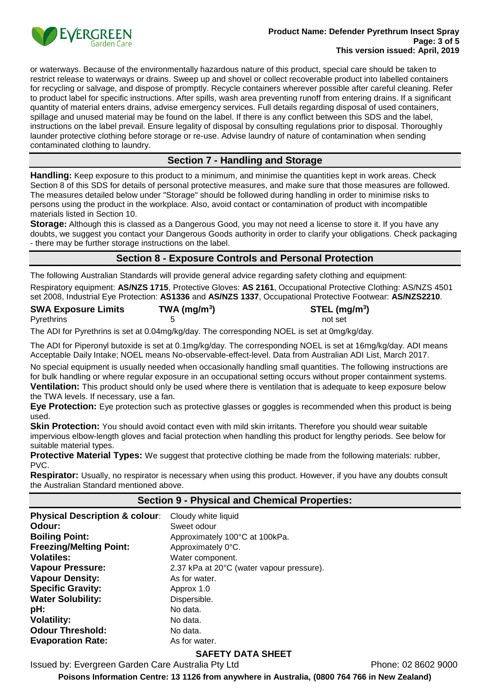

or waterways. Because of the environmentally hazardous nature of this product, special care should be taken to restrict release to waterways or drains. Sweep up and shovel or collect recoverable product into labelled containers for recycling or salvage, and dispose of promptly. Recycle containers wherever possible after careful cleaning. Refer to product label for specific instructions. After spills, wash area preventing runoff from entering drains. If a significant quantity of material enters drains, advise emergency services. Full details regarding disposal of used containers, spillage and unused material may be found on the label. If there is any conflict between this SDS and the label, instructions on the label prevail. Ensure legality of disposal by consulting regulations prior to disposal. Thoroughly launder protective clothing before storage or re-use. Advise laundry of nature of contamination when sending contaminated clothing to laundry.

## **Section 7 - Handling and Storage**

**Handling:** Keep exposure to this product to a minimum, and minimise the quantities kept in work areas. Check Section 8 of this SDS for details of personal protective measures, and make sure that those measures are followed. The measures detailed below under "Storage" should be followed during handling in order to minimise risks to persons using the product in the workplace. Also, avoid contact or contamination of product with incompatible materials listed in Section 10.

**Storage:** Although this is classed as a Dangerous Good, you may not need a license to store it. If you have any doubts, we suggest you contact your Dangerous Goods authority in order to clarify your obligations. Check packaging - there may be further storage instructions on the label.

## **Section 8 - Exposure Controls and Personal Protection**

The following Australian Standards will provide general advice regarding safety clothing and equipment:

Respiratory equipment: **AS/NZS 1715**, Protective Gloves: **AS 2161**, Occupational Protective Clothing: AS/NZS 4501 set 2008, Industrial Eye Protection: **AS1336** and **AS/NZS 1337**, Occupational Protective Footwear: **AS/NZS2210**.

| <b>SWA Exposure Limits</b> | TWA (mg/m <sup>3</sup> ) | STEL (mg/m <sup>3</sup> ) |
|----------------------------|--------------------------|---------------------------|
| Pyrethrins                 |                          | not set                   |

The ADI for Pyrethrins is set at 0.04mg/kg/day. The corresponding NOEL is set at 0mg/kg/day.

The ADI for Piperonyl butoxide is set at 0.1mg/kg/day. The corresponding NOEL is set at 16mg/kg/day. ADI means Acceptable Daily Intake; NOEL means No-observable-effect-level. Data from Australian ADI List, March 2017.

No special equipment is usually needed when occasionally handling small quantities. The following instructions are for bulk handling or where regular exposure in an occupational setting occurs without proper containment systems. **Ventilation:** This product should only be used where there is ventilation that is adequate to keep exposure below the TWA levels. If necessary, use a fan.

**Eye Protection:** Eye protection such as protective glasses or goggles is recommended when this product is being used.

**Skin Protection:** You should avoid contact even with mild skin irritants. Therefore you should wear suitable impervious elbow-length gloves and facial protection when handling this product for lengthy periods. See below for suitable material types.

**Protective Material Types:** We suggest that protective clothing be made from the following materials: rubber, PVC.

**Respirator:** Usually, no respirator is necessary when using this product. However, if you have any doubts consult the Australian Standard mentioned above.

## **Section 9 - Physical and Chemical Properties:**

| <b>Physical Description &amp; colour:</b> | Cloudy white liquid                       |
|-------------------------------------------|-------------------------------------------|
| Odour:                                    | Sweet odour                               |
| <b>Boiling Point:</b>                     | Approximately 100°C at 100kPa.            |
| <b>Freezing/Melting Point:</b>            | Approximately 0°C.                        |
| <b>Volatiles:</b>                         | Water component.                          |
| <b>Vapour Pressure:</b>                   | 2.37 kPa at 20°C (water vapour pressure). |
| <b>Vapour Density:</b>                    | As for water.                             |
| <b>Specific Gravity:</b>                  | Approx 1.0                                |
| <b>Water Solubility:</b>                  | Dispersible.                              |
| pH:                                       | No data.                                  |
| <b>Volatility:</b>                        | No data.                                  |
| <b>Odour Threshold:</b>                   | No data.                                  |
| <b>Evaporation Rate:</b>                  | As for water.                             |

## **SAFETY DATA SHEET**

Issued by: Evergreen Garden Care Australia Pty Ltd Phone: 02 8602 9000

**Poisons Information Centre: 13 1126 from anywhere in Australia, (0800 764 766 in New Zealand)**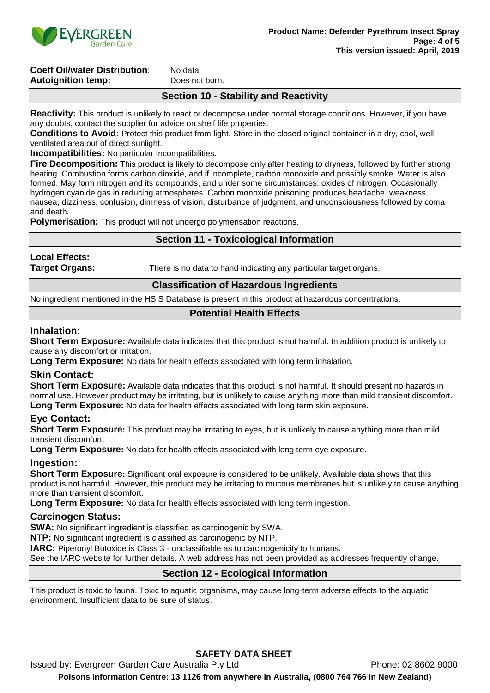

#### **Coeff Oil/water Distribution:** No data **Autoignition temp:** Does not burn.

## **Section 10 - Stability and Reactivity**

**Reactivity:** This product is unlikely to react or decompose under normal storage conditions. However, if you have any doubts, contact the supplier for advice on shelf life properties.

**Conditions to Avoid:** Protect this product from light. Store in the closed original container in a dry, cool, wellventilated area out of direct sunlight.

**Incompatibilities:** No particular Incompatibilities.

**Fire Decomposition:** This product is likely to decompose only after heating to dryness, followed by further strong heating. Combustion forms carbon dioxide, and if incomplete, carbon monoxide and possibly smoke. Water is also formed. May form nitrogen and its compounds, and under some circumstances, oxides of nitrogen. Occasionally hydrogen cyanide gas in reducing atmospheres. Carbon monoxide poisoning produces headache, weakness, nausea, dizziness, confusion, dimness of vision, disturbance of judgment, and unconsciousness followed by coma and death.

**Polymerisation:** This product will not undergo polymerisation reactions.

## **Section 11 - Toxicological Information**

# **Local Effects:**

**Target Organs:** There is no data to hand indicating any particular target organs.

#### **Classification of Hazardous Ingredients**

No ingredient mentioned in the HSIS Database is present in this product at hazardous concentrations.

## **Potential Health Effects**

## **Inhalation:**

**Short Term Exposure:** Available data indicates that this product is not harmful. In addition product is unlikely to cause any discomfort or irritation.

**Long Term Exposure:** No data for health effects associated with long term inhalation.

## **Skin Contact:**

**Short Term Exposure:** Available data indicates that this product is not harmful. It should present no hazards in normal use. However product may be irritating, but is unlikely to cause anything more than mild transient discomfort. **Long Term Exposure:** No data for health effects associated with long term skin exposure.

## **Eye Contact:**

**Short Term Exposure:** This product may be irritating to eyes, but is unlikely to cause anything more than mild transient discomfort.

**Long Term Exposure:** No data for health effects associated with long term eye exposure.

## **Ingestion:**

**Short Term Exposure:** Significant oral exposure is considered to be unlikely. Available data shows that this product is not harmful. However, this product may be irritating to mucous membranes but is unlikely to cause anything more than transient discomfort.

**Long Term Exposure:** No data for health effects associated with long term ingestion.

## **Carcinogen Status:**

**SWA:** No significant ingredient is classified as carcinogenic by SWA.

**NTP:** No significant ingredient is classified as carcinogenic by NTP.

**IARC:** Piperonyl Butoxide is Class 3 - unclassifiable as to carcinogenicity to humans.

See the IARC website for further details. A web address has not been provided as addresses frequently change.

## **Section 12 - Ecological Information**

This product is toxic to fauna. Toxic to aquatic organisms, may cause long-term adverse effects to the aquatic environment. Insufficient data to be sure of status.